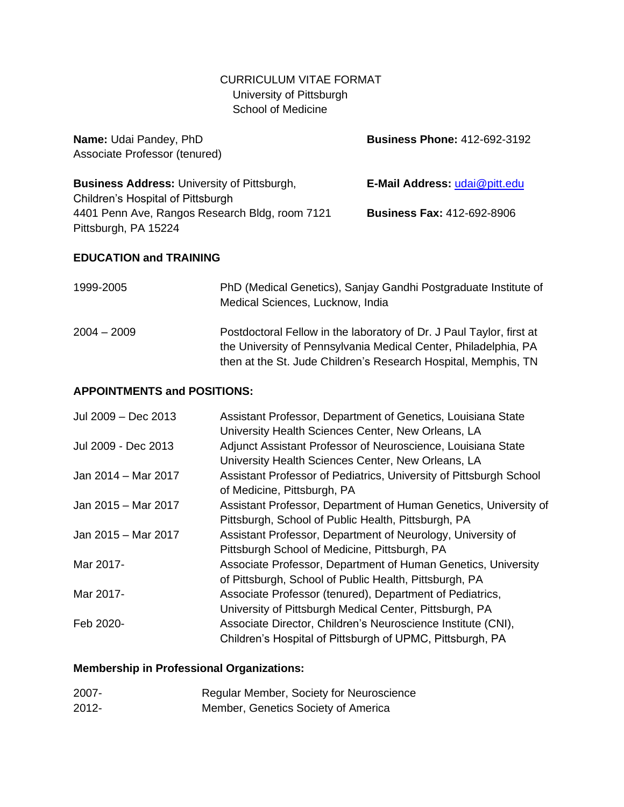# CURRICULUM VITAE FORMAT University of Pittsburgh School of Medicine

**Name:** Udai Pandey, PhD **Business Phone:** 412-692-3192 Associate Professor (tenured) **Business Address:** University of Pittsburgh, **E-Mail Address:** [udai@pitt.edu](mailto:udai@pitt.edu) Children's Hospital of Pittsburgh 4401 Penn Ave, Rangos Research Bldg, room 7121 **Business Fax:** 412-692-8906 Pittsburgh, PA 15224

# **EDUCATION and TRAINING**

| 1999-2005     | PhD (Medical Genetics), Sanjay Gandhi Postgraduate Institute of<br>Medical Sciences, Lucknow, India                                                                                                       |
|---------------|-----------------------------------------------------------------------------------------------------------------------------------------------------------------------------------------------------------|
| $2004 - 2009$ | Postdoctoral Fellow in the laboratory of Dr. J Paul Taylor, first at<br>the University of Pennsylvania Medical Center, Philadelphia, PA<br>then at the St. Jude Children's Research Hospital, Memphis, TN |

#### **APPOINTMENTS and POSITIONS:**

| Jul 2009 - Dec 2013 | Assistant Professor, Department of Genetics, Louisiana State<br>University Health Sciences Center, New Orleans, LA |
|---------------------|--------------------------------------------------------------------------------------------------------------------|
| Jul 2009 - Dec 2013 | Adjunct Assistant Professor of Neuroscience, Louisiana State                                                       |
|                     | University Health Sciences Center, New Orleans, LA                                                                 |
| Jan 2014 – Mar 2017 | Assistant Professor of Pediatrics, University of Pittsburgh School<br>of Medicine, Pittsburgh, PA                  |
| Jan 2015 - Mar 2017 | Assistant Professor, Department of Human Genetics, University of                                                   |
|                     | Pittsburgh, School of Public Health, Pittsburgh, PA                                                                |
| Jan 2015 - Mar 2017 | Assistant Professor, Department of Neurology, University of                                                        |
|                     | Pittsburgh School of Medicine, Pittsburgh, PA                                                                      |
| Mar 2017-           | Associate Professor, Department of Human Genetics, University                                                      |
|                     | of Pittsburgh, School of Public Health, Pittsburgh, PA                                                             |
| Mar 2017-           | Associate Professor (tenured), Department of Pediatrics,                                                           |
|                     | University of Pittsburgh Medical Center, Pittsburgh, PA                                                            |
| Feb 2020-           | Associate Director, Children's Neuroscience Institute (CNI),                                                       |
|                     | Children's Hospital of Pittsburgh of UPMC, Pittsburgh, PA                                                          |

# **Membership in Professional Organizations:**

| 2007- | Regular Member, Society for Neuroscience |
|-------|------------------------------------------|
| 2012- | Member, Genetics Society of America      |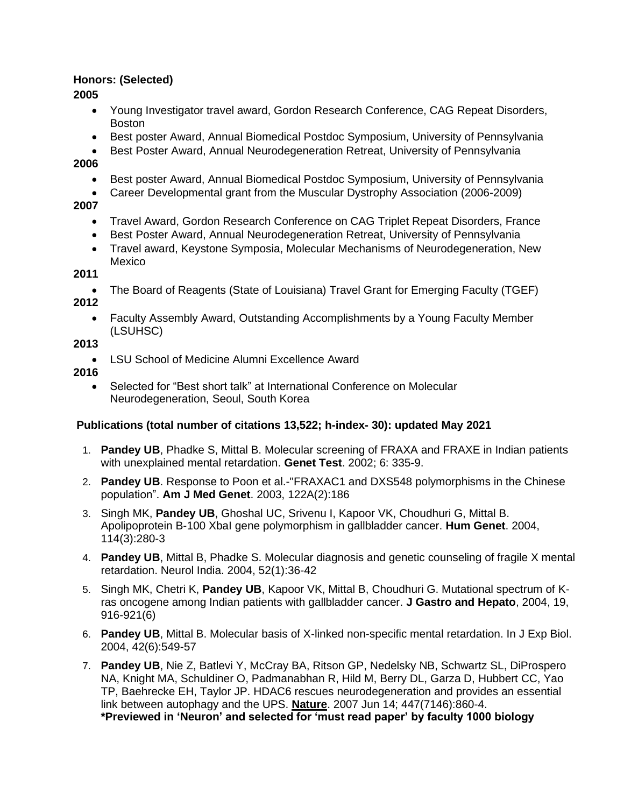# **Honors: (Selected)**

**2005**

- Young Investigator travel award, Gordon Research Conference, CAG Repeat Disorders, Boston
- Best poster Award, Annual Biomedical Postdoc Symposium, University of Pennsylvania
- Best Poster Award, Annual Neurodegeneration Retreat, University of Pennsylvania

# **2006**

- Best poster Award, Annual Biomedical Postdoc Symposium, University of Pennsylvania
- Career Developmental grant from the Muscular Dystrophy Association (2006-2009)

# **2007**

- Travel Award, Gordon Research Conference on CAG Triplet Repeat Disorders, France
- Best Poster Award, Annual Neurodegeneration Retreat, University of Pennsylvania
- Travel award, Keystone Symposia, Molecular Mechanisms of Neurodegeneration, New Mexico

# **2011**

- The Board of Reagents (State of Louisiana) Travel Grant for Emerging Faculty (TGEF) **2012**
	- Faculty Assembly Award, Outstanding Accomplishments by a Young Faculty Member (LSUHSC)

# **2013**

• LSU School of Medicine Alumni Excellence Award

# **2016**

• Selected for "Best short talk" at International Conference on Molecular Neurodegeneration, Seoul, South Korea

# **Publications (total number of citations 13,522; h-index- 30): updated May 2021**

- 1. **Pandey UB**, Phadke S, Mittal B. Molecular screening of FRAXA and FRAXE in Indian patients with unexplained mental retardation. **Genet Test**. 2002; 6: 335-9.
- 2. **Pandey UB**. Response to Poon et al.-"FRAXAC1 and DXS548 polymorphisms in the Chinese population". **Am J Med Genet**. 2003, 122A(2):186
- 3. Singh MK, **Pandey UB**, Ghoshal UC, Srivenu I, Kapoor VK, Choudhuri G, Mittal B. Apolipoprotein B-100 XbaI gene polymorphism in gallbladder cancer. **Hum Genet**. 2004, 114(3):280-3
- 4. **Pandey UB**, Mittal B, Phadke S. Molecular diagnosis and genetic counseling of fragile X mental retardation. Neurol India. 2004, 52(1):36-42
- 5. Singh MK, Chetri K, **Pandey UB**, Kapoor VK, Mittal B, Choudhuri G. Mutational spectrum of Kras oncogene among Indian patients with gallbladder cancer. **J Gastro and Hepato**, 2004, 19, 916-921(6)
- 6. **Pandey UB**, Mittal B. Molecular basis of X-linked non-specific mental retardation. In J Exp Biol. 2004, 42(6):549-57
- 7. **Pandey UB**, Nie Z, Batlevi Y, McCray BA, Ritson GP, Nedelsky NB, Schwartz SL, DiProspero NA, Knight MA, Schuldiner O, Padmanabhan R, Hild M, Berry DL, Garza D, Hubbert CC, Yao TP, Baehrecke EH, Taylor JP. HDAC6 rescues neurodegeneration and provides an essential link between autophagy and the UPS. **Nature**. 2007 Jun 14; 447(7146):860-4. **\*Previewed in 'Neuron' and selected for 'must read paper' by faculty 1000 biology**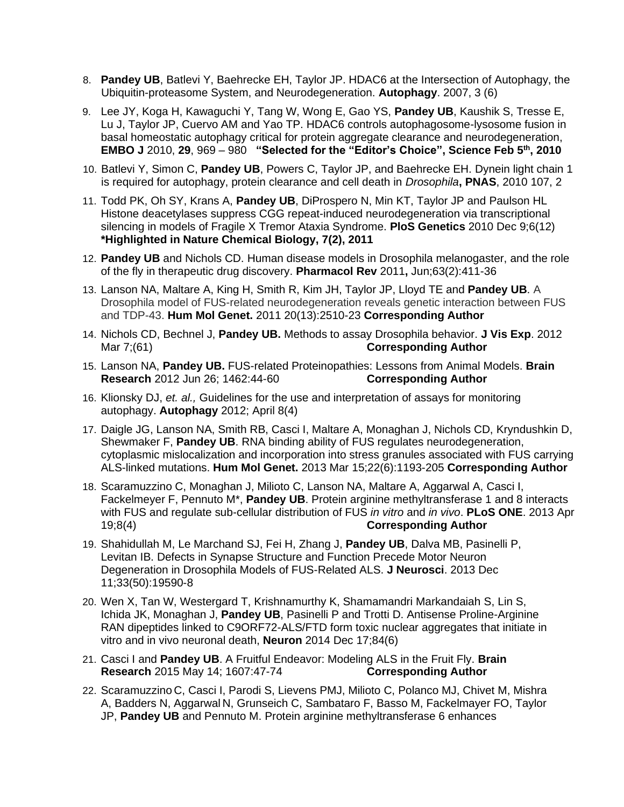- 8. **Pandey UB**, Batlevi Y, Baehrecke EH, Taylor JP. HDAC6 at the Intersection of Autophagy, the Ubiquitin-proteasome System, and Neurodegeneration. **Autophagy**. 2007, 3 (6)
- 9. Lee JY, Koga H, Kawaguchi Y, Tang W, Wong E, Gao YS, **Pandey UB**, Kaushik S, Tresse E, Lu J, Taylor JP, Cuervo AM and Yao TP. HDAC6 controls autophagosome-lysosome fusion in basal homeostatic autophagy critical for protein aggregate clearance and neurodegeneration, **EMBO J** 2010, **29**, 969 – 980 **"Selected for the "Editor's Choice", Science Feb 5th, 2010**
- 10. Batlevi Y, Simon C, **Pandey UB**, Powers C, Taylor JP, and Baehrecke EH. Dynein light chain 1 is required for autophagy, protein clearance and cell death in *Drosophila***, PNAS**, 2010 107, 2
- 11. Todd PK, Oh SY, Krans A, **Pandey UB**, DiProspero N, Min KT, Taylor JP and Paulson HL Histone deacetylases suppress CGG repeat-induced neurodegeneration via transcriptional silencing in models of Fragile X Tremor Ataxia Syndrome. **PloS Genetics** 2010 Dec 9;6(12) **\*Highlighted in Nature Chemical Biology, 7(2), 2011**
- 12. **Pandey UB** and Nichols CD. Human disease models in Drosophila melanogaster, and the role of the fly in therapeutic drug discovery. **Pharmacol Rev** 2011**,** Jun;63(2):411-36
- 13. Lanson NA, Maltare A, King H, Smith R, Kim JH, Taylor JP, Lloyd TE and **Pandey UB**. A Drosophila model of FUS-related neurodegeneration reveals genetic interaction between FUS and TDP-43. **Hum Mol Genet.** 2011 20(13):2510-23 **Corresponding Author**
- 14. Nichols CD, Bechnel J, **Pandey UB.** Methods to assay Drosophila behavior. **J Vis Exp**. 2012 Mar 7;(61) **Corresponding Author**
- 15. Lanson NA, **Pandey UB.** FUS-related Proteinopathies: Lessons from Animal Models. **Brain Research** 2012 Jun 26; 1462:44-60 **Corresponding Author**
- 16. Klionsky DJ, *et. al.,* Guidelines for the use and interpretation of assays for monitoring autophagy. **Autophagy** 2012; April 8(4)
- 17. Daigle JG, Lanson NA, Smith RB, Casci I, Maltare A, Monaghan J, Nichols CD, Kryndushkin D, Shewmaker F, **Pandey UB**. RNA binding ability of FUS regulates neurodegeneration, cytoplasmic mislocalization and incorporation into stress granules associated with FUS carrying ALS-linked mutations. **Hum Mol Genet.** 2013 Mar 15;22(6):1193-205 **Corresponding Author**
- 18. Scaramuzzino C, Monaghan J, Milioto C, Lanson NA, Maltare A, Aggarwal A, Casci I, Fackelmeyer F, Pennuto M\*, **Pandey UB**. Protein arginine methyltransferase 1 and 8 interacts with FUS and regulate sub-cellular distribution of FUS *in vitro* and *in vivo*. **PLoS ONE**. 2013 Apr 19;8(4) **Corresponding Author**
- 19. Shahidullah M, Le Marchand SJ, Fei H, Zhang J, **Pandey UB**, Dalva MB, Pasinelli P, Levitan IB. Defects in Synapse Structure and Function Precede Motor Neuron Degeneration in Drosophila Models of FUS-Related ALS. **J Neurosci**. 2013 Dec 11;33(50):19590-8
- 20. Wen X, Tan W, Westergard T, Krishnamurthy K, Shamamandri Markandaiah S, Lin S, Ichida JK, Monaghan J, **Pandey UB**, Pasinelli P and Trotti D. Antisense Proline-Arginine RAN dipeptides linked to C9ORF72-ALS/FTD form toxic nuclear aggregates that initiate in vitro and in vivo neuronal death, **Neuron** 2014 Dec 17;84(6)
- 21. Casci I and **Pandey UB**. A Fruitful Endeavor: Modeling ALS in the Fruit Fly. **Brain Research** 2015 May 14; 1607:47-74 **Corresponding Author**
- 22. Scaramuzzino C, Casci I, Parodi S, Lievens PMJ, Milioto C, Polanco MJ, Chivet M, Mishra A, Badders N, Aggarwal N, Grunseich C, Sambataro F, Basso M, Fackelmayer FO, Taylor JP, **Pandey UB** and Pennuto M. Protein arginine methyltransferase 6 enhances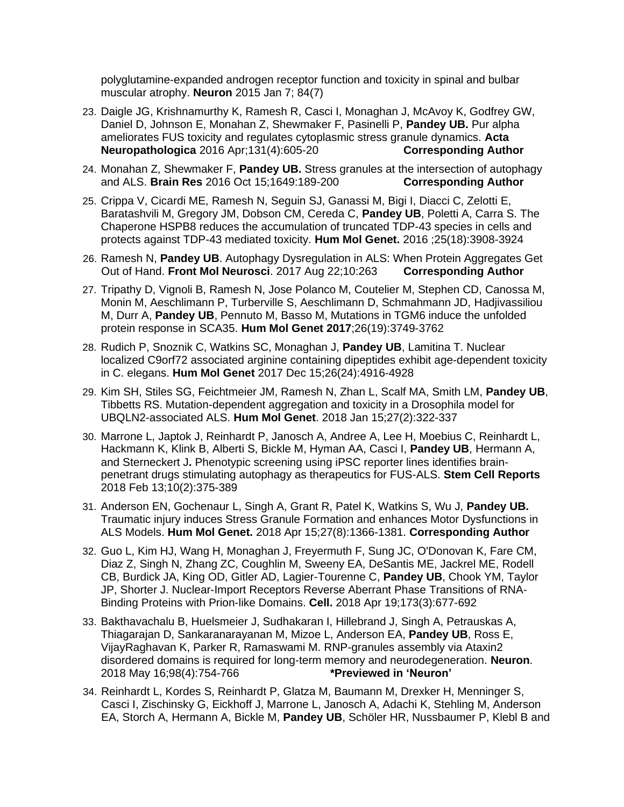polyglutamine-expanded androgen receptor function and toxicity in spinal and bulbar muscular atrophy. **Neuron** 2015 Jan 7; 84(7)

- 23. Daigle JG, Krishnamurthy K, Ramesh R, Casci I, Monaghan J, McAvoy K, Godfrey GW, Daniel D, Johnson E, Monahan Z, Shewmaker F, Pasinelli P, **Pandey UB.** Pur alpha ameliorates FUS toxicity and regulates cytoplasmic stress granule dynamics. **Acta Neuropathologica** 2016 Apr;131(4):605-20 **Corresponding Author**
- 24. Monahan Z, Shewmaker F, **Pandey UB.** Stress granules at the intersection of autophagy and ALS. **Brain Res** 2016 Oct 15;1649:189-200 **Corresponding Author**
- 25. Crippa V, Cicardi ME, Ramesh N, Seguin SJ, Ganassi M, Bigi I, Diacci C, Zelotti E, Baratashvili M, Gregory JM, Dobson CM, Cereda C, **Pandey UB**, Poletti A, Carra S. The Chaperone HSPB8 reduces the accumulation of truncated TDP-43 species in cells and protects against TDP-43 mediated toxicity. **Hum Mol Genet.** 2016 ;25(18):3908-3924
- 26. Ramesh N, **Pandey UB**. Autophagy Dysregulation in ALS: When Protein Aggregates Get Out of Hand. **Front Mol Neurosci**. 2017 Aug 22;10:263 **Corresponding Author**
- 27. Tripathy D, Vignoli B, Ramesh N, Jose Polanco M, Coutelier M, Stephen CD, Canossa M, Monin M, Aeschlimann P, Turberville S, Aeschlimann D, Schmahmann JD, Hadjivassiliou M, Durr A, **Pandey UB**, Pennuto M, Basso M, Mutations in TGM6 induce the unfolded protein response in SCA35. **Hum Mol Genet 2017**;26(19):3749-3762
- 28. Rudich P, Snoznik C, Watkins SC, Monaghan J, **Pandey UB**, Lamitina T. Nuclear localized C9orf72 associated arginine containing dipeptides exhibit age-dependent toxicity in C. elegans. **Hum Mol Genet** 2017 Dec 15;26(24):4916-4928
- 29. Kim SH, Stiles SG, Feichtmeier JM, Ramesh N, Zhan L, Scalf MA, Smith LM, **Pandey UB**, Tibbetts RS. Mutation-dependent aggregation and toxicity in a Drosophila model for UBQLN2-associated ALS. **Hum Mol Genet**. 2018 Jan 15;27(2):322-337
- 30. Marrone L, Japtok J, Reinhardt P, Janosch A, Andree A, Lee H, Moebius C, Reinhardt L, Hackmann K, Klink B, Alberti S, Bickle M, Hyman AA, Casci I, **Pandey UB**, Hermann A, and Sterneckert J**.** Phenotypic screening using iPSC reporter lines identifies brainpenetrant drugs stimulating autophagy as therapeutics for FUS-ALS. **Stem Cell Reports**  2018 Feb 13;10(2):375-389
- 31. Anderson EN, Gochenaur L, Singh A, Grant R, Patel K, Watkins S, Wu J, **Pandey UB.**  Traumatic injury induces Stress Granule Formation and enhances Motor Dysfunctions in ALS Models. **Hum Mol Genet.** 2018 Apr 15;27(8):1366-1381. **Corresponding Author**
- 32. Guo L, Kim HJ, Wang H, Monaghan J, Freyermuth F, Sung JC, O'Donovan K, Fare CM, Diaz Z, Singh N, Zhang ZC, Coughlin M, Sweeny EA, DeSantis ME, Jackrel ME, Rodell CB, Burdick JA, King OD, Gitler AD, Lagier-Tourenne C, **Pandey UB**, Chook YM, Taylor JP, Shorter J. Nuclear-Import Receptors Reverse Aberrant Phase Transitions of RNA-Binding Proteins with Prion-like Domains. **Cell.** 2018 Apr 19;173(3):677-692
- 33. Bakthavachalu B, Huelsmeier J, Sudhakaran I, Hillebrand J, Singh A, Petrauskas A, Thiagarajan D, Sankaranarayanan M, Mizoe L, Anderson EA, **Pandey UB**, Ross E, VijayRaghavan K, Parker R, Ramaswami M. RNP-granules assembly via Ataxin2 disordered domains is required for long-term memory and neurodegeneration. **Neuron**. 2018 May 16;98(4):754-766 **\*Previewed in 'Neuron'**
- 34. Reinhardt L, Kordes S, Reinhardt P, Glatza M, Baumann M, Drexker H, Menninger S, Casci I, Zischinsky G, Eickhoff J, Marrone L, Janosch A, Adachi K, Stehling M, Anderson EA, Storch A, Hermann A, Bickle M, **Pandey UB**, Schöler HR, Nussbaumer P, Klebl B and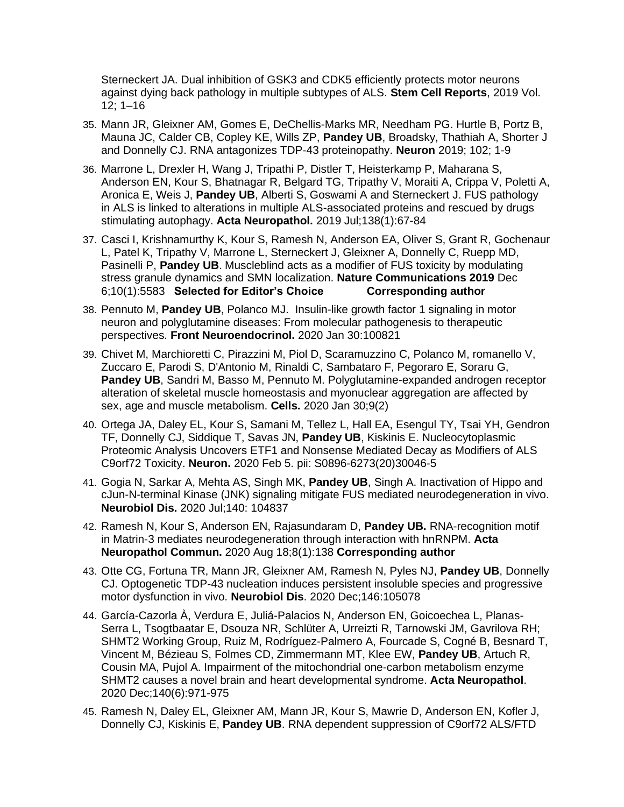Sterneckert JA. Dual inhibition of GSK3 and CDK5 efficiently protects motor neurons against dying back pathology in multiple subtypes of ALS. **Stem Cell Reports**, 2019 Vol. 12; 1–16

- 35. Mann JR, Gleixner AM, Gomes E, DeChellis-Marks MR, Needham PG. Hurtle B, Portz B, Mauna JC, Calder CB, Copley KE, Wills ZP, **Pandey UB**, Broadsky, Thathiah A, Shorter J and Donnelly CJ. RNA antagonizes TDP-43 proteinopathy. **Neuron** 2019; 102; 1-9
- 36. Marrone L, Drexler H, Wang J, Tripathi P, Distler T, Heisterkamp P, Maharana S, Anderson EN, Kour S, Bhatnagar R, Belgard TG, Tripathy V, Moraiti A, Crippa V, Poletti A, Aronica E, Weis J, **Pandey UB**, Alberti S, Goswami A and Sterneckert J. FUS pathology in ALS is linked to alterations in multiple ALS-associated proteins and rescued by drugs stimulating autophagy. **Acta Neuropathol.** 2019 Jul;138(1):67-84
- 37. Casci I, Krishnamurthy K, Kour S, Ramesh N, Anderson EA, Oliver S, Grant R, Gochenaur L, Patel K, Tripathy V, Marrone L, Sterneckert J, Gleixner A, Donnelly C, Ruepp MD, Pasinelli P, **Pandey UB**. Muscleblind acts as a modifier of FUS toxicity by modulating stress granule dynamics and SMN localization. **Nature Communications 2019** Dec 6;10(1):5583 **Selected for Editor's Choice Corresponding author**
- 38. Pennuto M, **Pandey UB**, Polanco MJ. Insulin-like growth factor 1 signaling in motor neuron and polyglutamine diseases: From molecular pathogenesis to therapeutic perspectives. **Front Neuroendocrinol.** 2020 Jan 30:100821
- 39. Chivet M, Marchioretti C, Pirazzini M, Piol D, Scaramuzzino C, Polanco M, romanello V, Zuccaro E, Parodi S, D'Antonio M, Rinaldi C, Sambataro F, Pegoraro E, Soraru G, **Pandey UB**, Sandri M, Basso M, Pennuto M. Polyglutamine-expanded androgen receptor alteration of skeletal muscle homeostasis and myonuclear aggregation are affected by sex, age and muscle metabolism. **Cells.** 2020 Jan 30;9(2)
- 40. Ortega JA, Daley EL, Kour S, Samani M, Tellez L, Hall EA, Esengul TY, Tsai YH, Gendron TF, Donnelly CJ, Siddique T, Savas JN, **Pandey UB**, Kiskinis E. Nucleocytoplasmic Proteomic Analysis Uncovers ETF1 and Nonsense Mediated Decay as Modifiers of ALS C9orf72 Toxicity. **Neuron.** 2020 Feb 5. pii: S0896-6273(20)30046-5
- 41. Gogia N, Sarkar A, Mehta AS, Singh MK, **Pandey UB**, Singh A. Inactivation of Hippo and cJun-N-terminal Kinase (JNK) signaling mitigate FUS mediated neurodegeneration in vivo. **Neurobiol Dis.** 2020 Jul;140: 104837
- 42. Ramesh N, Kour S, Anderson EN, Rajasundaram D, **Pandey UB.** RNA-recognition motif in Matrin-3 mediates neurodegeneration through interaction with hnRNPM. **Acta Neuropathol Commun.** 2020 Aug 18;8(1):138 **Corresponding author**
- 43. Otte CG, Fortuna TR, Mann JR, Gleixner AM, Ramesh N, Pyles NJ, **Pandey UB**, Donnelly CJ. Optogenetic TDP-43 nucleation induces persistent insoluble species and progressive motor dysfunction in vivo. **Neurobiol Dis**. 2020 Dec;146:105078
- 44. García-Cazorla À, Verdura E, Juliá-Palacios N, Anderson EN, Goicoechea L, Planas-Serra L, Tsogtbaatar E, Dsouza NR, Schlüter A, Urreizti R, Tarnowski JM, Gavrilova RH; SHMT2 Working Group, Ruiz M, Rodríguez-Palmero A, Fourcade S, Cogné B, Besnard T, Vincent M, Bézieau S, Folmes CD, Zimmermann MT, Klee EW, **Pandey UB**, Artuch R, Cousin MA, Pujol A. Impairment of the mitochondrial one-carbon metabolism enzyme SHMT2 causes a novel brain and heart developmental syndrome. **Acta Neuropathol**. 2020 Dec;140(6):971-975
- 45. Ramesh N, Daley EL, Gleixner AM, Mann JR, Kour S, Mawrie D, Anderson EN, Kofler J, Donnelly CJ, Kiskinis E, **Pandey UB**. RNA dependent suppression of C9orf72 ALS/FTD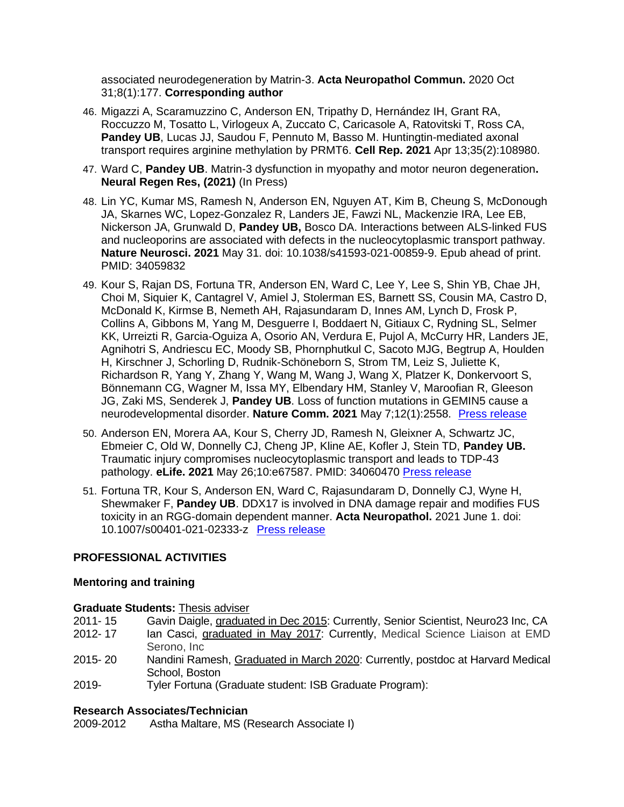associated neurodegeneration by Matrin-3. **Acta Neuropathol Commun.** 2020 Oct 31;8(1):177. **Corresponding author**

- 46. Migazzi A, Scaramuzzino C, Anderson EN, Tripathy D, Hernández IH, Grant RA, Roccuzzo M, Tosatto L, Virlogeux A, Zuccato C, Caricasole A, Ratovitski T, Ross CA, **Pandey UB**, Lucas JJ, Saudou F, Pennuto M, Basso M. Huntingtin-mediated axonal transport requires arginine methylation by PRMT6. **Cell Rep. 2021** Apr 13;35(2):108980.
- 47. Ward C, **Pandey UB**. Matrin-3 dysfunction in myopathy and motor neuron degeneration**. Neural Regen Res, (2021)** (In Press)
- 48. Lin YC, Kumar MS, Ramesh N, Anderson EN, Nguyen AT, Kim B, Cheung S, McDonough JA, Skarnes WC, Lopez-Gonzalez R, Landers JE, Fawzi NL, Mackenzie IRA, Lee EB, Nickerson JA, Grunwald D, **Pandey UB,** Bosco DA. Interactions between ALS-linked FUS and nucleoporins are associated with defects in the nucleocytoplasmic transport pathway. **Nature Neurosci. 2021** May 31. doi: 10.1038/s41593-021-00859-9. Epub ahead of print. PMID: 34059832
- 49. Kour S, Rajan DS, Fortuna TR, Anderson EN, Ward C, Lee Y, Lee S, Shin YB, Chae JH, Choi M, Siquier K, Cantagrel V, Amiel J, Stolerman ES, Barnett SS, Cousin MA, Castro D, McDonald K, Kirmse B, Nemeth AH, Rajasundaram D, Innes AM, Lynch D, Frosk P, Collins A, Gibbons M, Yang M, Desguerre I, Boddaert N, Gitiaux C, Rydning SL, Selmer KK, Urreizti R, Garcia-Oguiza A, Osorio AN, Verdura E, Pujol A, McCurry HR, Landers JE, Agnihotri S, Andriescu EC, Moody SB, Phornphutkul C, Sacoto MJG, Begtrup A, Houlden H, Kirschner J, Schorling D, Rudnik-Schöneborn S, Strom TM, Leiz S, Juliette K, Richardson R, Yang Y, Zhang Y, Wang M, Wang J, Wang X, Platzer K, Donkervoort S, Bönnemann CG, Wagner M, Issa MY, Elbendary HM, Stanley V, Maroofian R, Gleeson JG, Zaki MS, Senderek J, **Pandey UB**. Loss of function mutations in GEMIN5 cause a neurodevelopmental disorder. **Nature Comm. 2021** May 7;12(1):2558. [Press release](https://www.upmc.com/media/news/050721-pandey-gemin5)
- 50. Anderson EN, Morera AA, Kour S, Cherry JD, Ramesh N, Gleixner A, Schwartz JC, Ebmeier C, Old W, Donnelly CJ, Cheng JP, Kline AE, Kofler J, Stein TD, **Pandey UB.** Traumatic injury compromises nucleocytoplasmic transport and leads to TDP-43 pathology. **eLife. 2021** May 26;10:e67587. PMID: 34060470 [Press release](https://elifesciences.org/for-the-press/211d87b8/scientists-identify-mechanism-linking-traumatic-brain-injury-to-neurodegenerative-disease)
- 51. Fortuna TR, Kour S, Anderson EN, Ward C, Rajasundaram D, Donnelly CJ, Wyne H, Shewmaker F, **Pandey UB**. DDX17 is involved in DNA damage repair and modifies FUS toxicity in an RGG-domain dependent manner. **Acta Neuropathol.** 2021 June 1. doi: 10.1007/s00401-021-02333-z [Press release](https://www.packardcenter.org/news-and-media/news/packard-team-identifies-a-new-mechanism-through-which-mutant-fus-can-lead-to-als)

# **PROFESSIONAL ACTIVITIES**

# **Mentoring and training**

- 2011- 15 Gavin Daigle, graduated in Dec 2015: Currently, Senior Scientist, Neuro23 Inc, CA
- 2012- 17 Ian Casci, graduated in May 2017: Currently, Medical Science Liaison at EMD Serono, Inc
- 2015- 20 Nandini Ramesh, Graduated in March 2020: Currently, postdoc at Harvard Medical School, Boston
- 2019- Tyler Fortuna (Graduate student: ISB Graduate Program):

# **Research Associates/Technician**

2009-2012 Astha Maltare, MS (Research Associate I)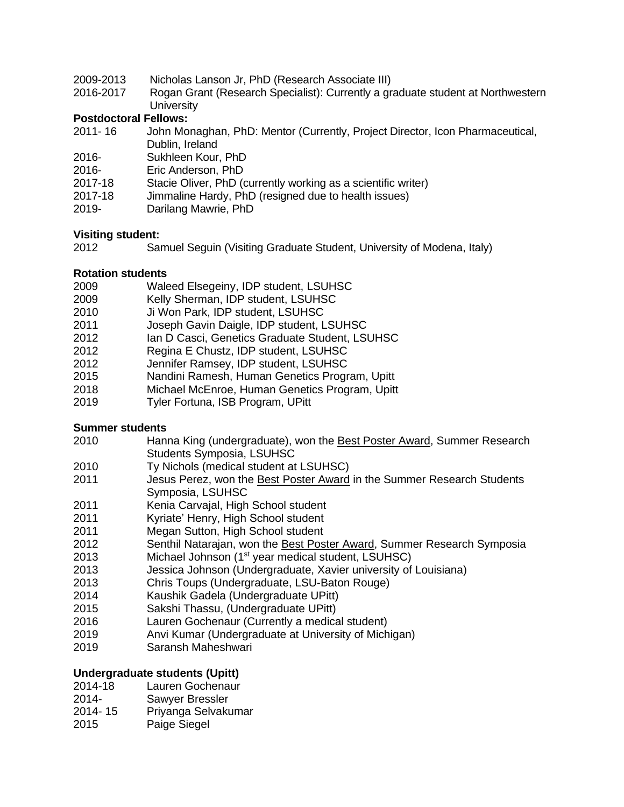- 2009-2013 Nicholas Lanson Jr, PhD (Research Associate III)
- 2016-2017 Rogan Grant (Research Specialist): Currently a graduate student at Northwestern **University**

# **Postdoctoral Fellows:**

- 2011- 16 John Monaghan, PhD: Mentor (Currently, Project Director, Icon Pharmaceutical, Dublin, Ireland
- 2016- Sukhleen Kour, PhD
- 2016- Eric Anderson, PhD
- 2017-18 Stacie Oliver, PhD (currently working as a scientific writer)
- 2017-18 Jimmaline Hardy, PhD (resigned due to health issues)
- 2019- Darilang Mawrie, PhD

#### **Visiting student:**

2012 Samuel Seguin (Visiting Graduate Student, University of Modena, Italy)

#### **Rotation students**

- 2009 Waleed Elsegeiny, IDP student, LSUHSC
- 2009 Kelly Sherman, IDP student, LSUHSC
- 2010 Ji Won Park, IDP student, LSUHSC
- 2011 Joseph Gavin Daigle, IDP student, LSUHSC
- 2012 Ian D Casci, Genetics Graduate Student, LSUHSC
- 2012 Regina E Chustz, IDP student, LSUHSC
- 2012 Jennifer Ramsey, IDP student, LSUHSC
- 2015 Nandini Ramesh, Human Genetics Program, Upitt
- 2018 Michael McEnroe, Human Genetics Program, Upitt
- 2019 Tyler Fortuna, ISB Program, UPitt

# **Summer students**

- 2010 Hanna King (undergraduate), won the Best Poster Award, Summer Research Students Symposia, LSUHSC
- 2010 Ty Nichols (medical student at LSUHSC)
- 2011 Jesus Perez, won the Best Poster Award in the Summer Research Students Symposia, LSUHSC
- 2011 Kenia Carvajal, High School student
- 2011 Kyriate' Henry, High School student
- 2011 Megan Sutton, High School student
- 2012 Senthil Natarajan, won the Best Poster Award, Summer Research Symposia
- 2013 Michael Johnson (1<sup>st</sup> year medical student, LSUHSC)
- 2013 Jessica Johnson (Undergraduate, Xavier university of Louisiana)
- 2013 Chris Toups (Undergraduate, LSU-Baton Rouge)
- 2014 Kaushik Gadela (Undergraduate UPitt)
- 2015 Sakshi Thassu, (Undergraduate UPitt)
- 2016 Lauren Gochenaur (Currently a medical student)
- 2019 Anvi Kumar (Undergraduate at University of Michigan)
- 2019 Saransh Maheshwari

# **Undergraduate students (Upitt)**

- 2014-18 Lauren Gochenaur
- 2014- Sawyer Bressler
- 2014- 15 Priyanga Selvakumar
- 2015 Paige Siegel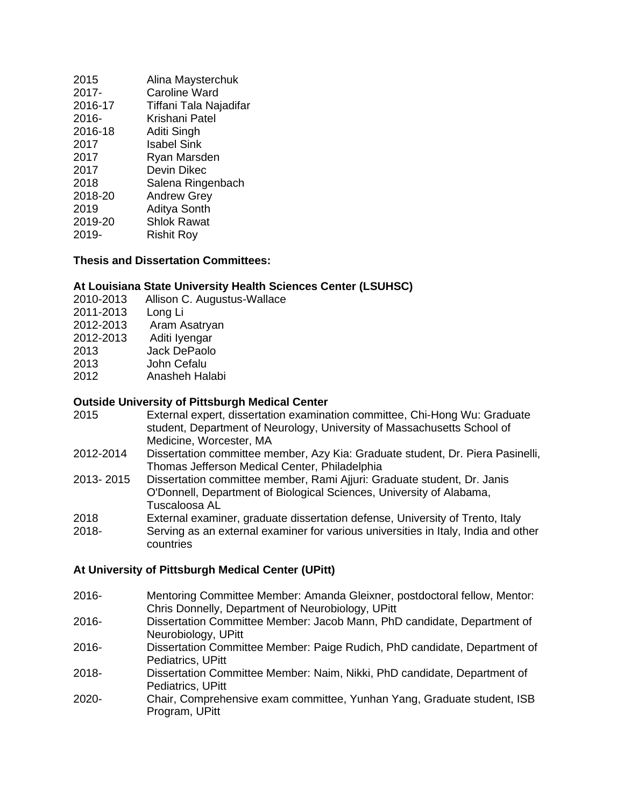| 2015    | Alina Maysterchuk      |
|---------|------------------------|
| 2017-   | <b>Caroline Ward</b>   |
| 2016-17 | Tiffani Tala Najadifar |
| 2016-   | Krishani Patel         |
| 2016-18 | Aditi Singh            |
| 2017    | <b>Isabel Sink</b>     |
| 2017    | Ryan Marsden           |
| 2017    | Devin Dikec            |
| 2018    | Salena Ringenbach      |
| 2018-20 | <b>Andrew Grey</b>     |
| 2019    | <b>Aditya Sonth</b>    |
| 2019-20 | <b>Shlok Rawat</b>     |
| 2019-   | <b>Rishit Roy</b>      |
|         |                        |

#### **Thesis and Dissertation Committees:**

#### **At Louisiana State University Health Sciences Center (LSUHSC)**

- 2010-2013 Allison C. Augustus-Wallace
- 2011-2013 Long Li 2012-2013 Aram Asatryan 2012-2013 Aditi Iyengar 2013 Jack DePaolo 2013 John Cefalu 2012 Anasheh Halabi

#### **Outside University of Pittsburgh Medical Center**

- 2015 External expert, dissertation examination committee, Chi-Hong Wu: Graduate student, Department of Neurology, University of Massachusetts School of Medicine, Worcester, MA
- 2012-2014 Dissertation committee member, Azy Kia: Graduate student, Dr. Piera Pasinelli, Thomas Jefferson Medical Center, Philadelphia
- 2013- 2015 Dissertation committee member, Rami Ajjuri: Graduate student, Dr. Janis O'Donnell, Department of Biological Sciences, University of Alabama, Tuscaloosa AL
- 2018 External examiner, graduate dissertation defense, University of Trento, Italy
- 2018- Serving as an external examiner for various universities in Italy, India and other countries

#### **At University of Pittsburgh Medical Center (UPitt)**

- 2016- Mentoring Committee Member: Amanda Gleixner, postdoctoral fellow, Mentor: Chris Donnelly, Department of Neurobiology, UPitt
- 2016- Dissertation Committee Member: Jacob Mann, PhD candidate, Department of Neurobiology, UPitt
- 2016- Dissertation Committee Member: Paige Rudich, PhD candidate, Department of Pediatrics, UPitt
- 2018- Dissertation Committee Member: Naim, Nikki, PhD candidate, Department of Pediatrics, UPitt
- 2020- Chair, Comprehensive exam committee, Yunhan Yang, Graduate student, ISB Program, UPitt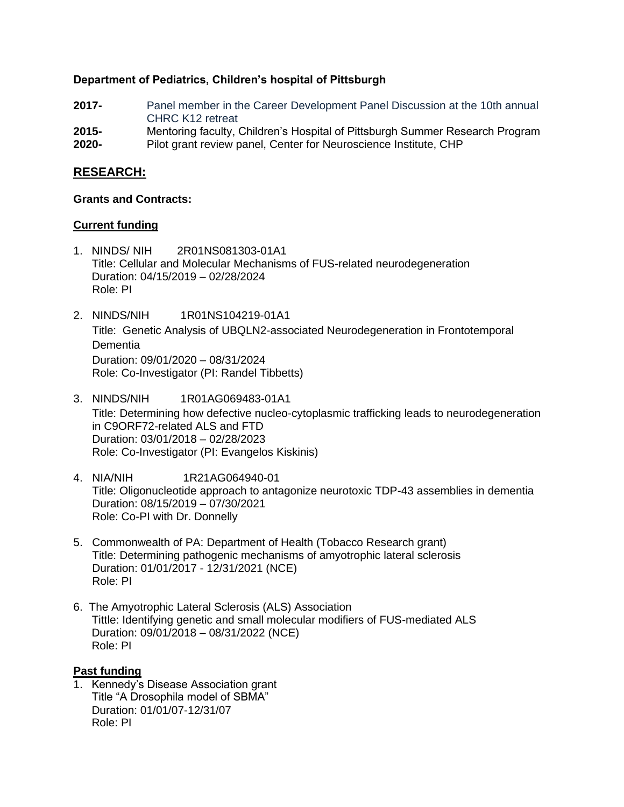# **Department of Pediatrics, Children's hospital of Pittsburgh**

- **2017-** Panel member in the Career Development Panel Discussion at the 10th annual CHRC K12 retreat
- **2015-** Mentoring faculty, Children's Hospital of Pittsburgh Summer Research Program
- **2020-** Pilot grant review panel, Center for Neuroscience Institute, CHP

# **RESEARCH:**

#### **Grants and Contracts:**

# **Current funding**

- 1. NINDS/ NIH 2R01NS081303-01A1 Title: Cellular and Molecular Mechanisms of FUS-related neurodegeneration Duration: 04/15/2019 – 02/28/2024 Role: PI
- 2. NINDS/NIH 1R01NS104219-01A1 Title: Genetic Analysis of UBQLN2-associated Neurodegeneration in Frontotemporal Dementia Duration: 09/01/2020 – 08/31/2024 Role: Co-Investigator (PI: Randel Tibbetts)
- 3. NINDS/NIH 1R01AG069483-01A1 Title: Determining how defective nucleo-cytoplasmic trafficking leads to neurodegeneration in C9ORF72-related ALS and FTD Duration: 03/01/2018 – 02/28/2023 Role: Co-Investigator (PI: Evangelos Kiskinis)
- 4. NIA/NIH 1R21AG064940-01 Title: Oligonucleotide approach to antagonize neurotoxic TDP-43 assemblies in dementia Duration: 08/15/2019 – 07/30/2021 Role: Co-PI with Dr. Donnelly
- 5. Commonwealth of PA: Department of Health (Tobacco Research grant) Title: Determining pathogenic mechanisms of amyotrophic lateral sclerosis Duration: 01/01/2017 - 12/31/2021 (NCE) Role: PI
- 6. The Amyotrophic Lateral Sclerosis (ALS) Association Tittle: Identifying genetic and small molecular modifiers of FUS-mediated ALS Duration: 09/01/2018 – 08/31/2022 (NCE) Role: PI

# **Past funding**

1. Kennedy's Disease Association grant Title "A Drosophila model of SBMA" Duration: 01/01/07-12/31/07 Role: PI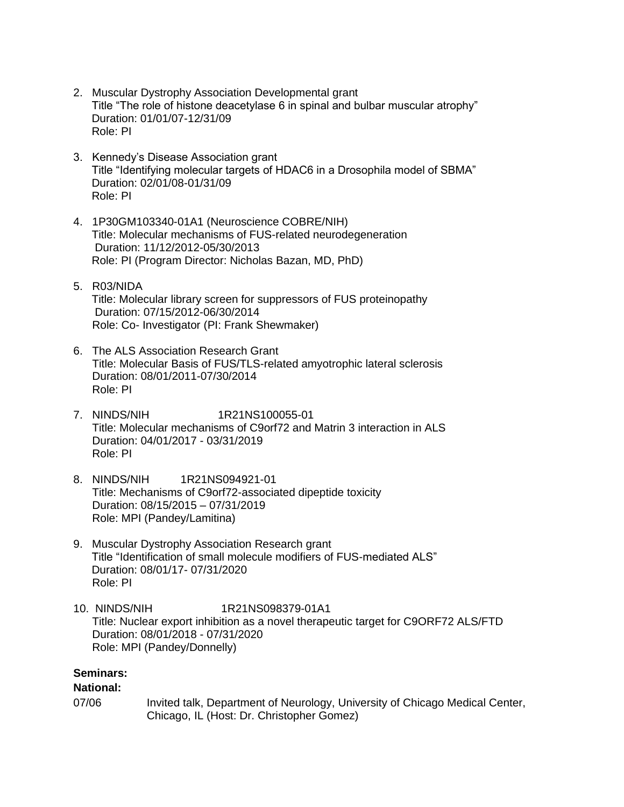- 2. Muscular Dystrophy Association Developmental grant Title "The role of histone deacetylase 6 in spinal and bulbar muscular atrophy" Duration: 01/01/07-12/31/09 Role: PI
- 3. Kennedy's Disease Association grant Title "Identifying molecular targets of HDAC6 in a Drosophila model of SBMA" Duration: 02/01/08-01/31/09 Role: PI
- 4. 1P30GM103340-01A1 (Neuroscience COBRE/NIH) Title: Molecular mechanisms of FUS-related neurodegeneration Duration: 11/12/2012-05/30/2013 Role: PI (Program Director: Nicholas Bazan, MD, PhD)
- 5. R03/NIDA Title: Molecular library screen for suppressors of FUS proteinopathy Duration: 07/15/2012-06/30/2014 Role: Co- Investigator (PI: Frank Shewmaker)
- 6. The ALS Association Research Grant Title: Molecular Basis of FUS/TLS-related amyotrophic lateral sclerosis Duration: 08/01/2011-07/30/2014 Role: PI
- 7. NINDS/NIH 1R21NS100055-01 Title: Molecular mechanisms of C9orf72 and Matrin 3 interaction in ALS Duration: 04/01/2017 - 03/31/2019 Role: PI
- 8. NINDS/NIH 1R21NS094921-01 Title: Mechanisms of C9orf72-associated dipeptide toxicity Duration: 08/15/2015 – 07/31/2019 Role: MPI (Pandey/Lamitina)
- 9. Muscular Dystrophy Association Research grant Title "Identification of small molecule modifiers of FUS-mediated ALS" Duration: 08/01/17- 07/31/2020 Role: PI
- 10. NINDS/NIH 1R21NS098379-01A1 Title: Nuclear export inhibition as a novel therapeutic target for C9ORF72 ALS/FTD Duration: 08/01/2018 - 07/31/2020 Role: MPI (Pandey/Donnelly)

# **Seminars:**

# **National:**

07/06 Invited talk, Department of Neurology, University of Chicago Medical Center, Chicago, IL (Host: Dr. Christopher Gomez)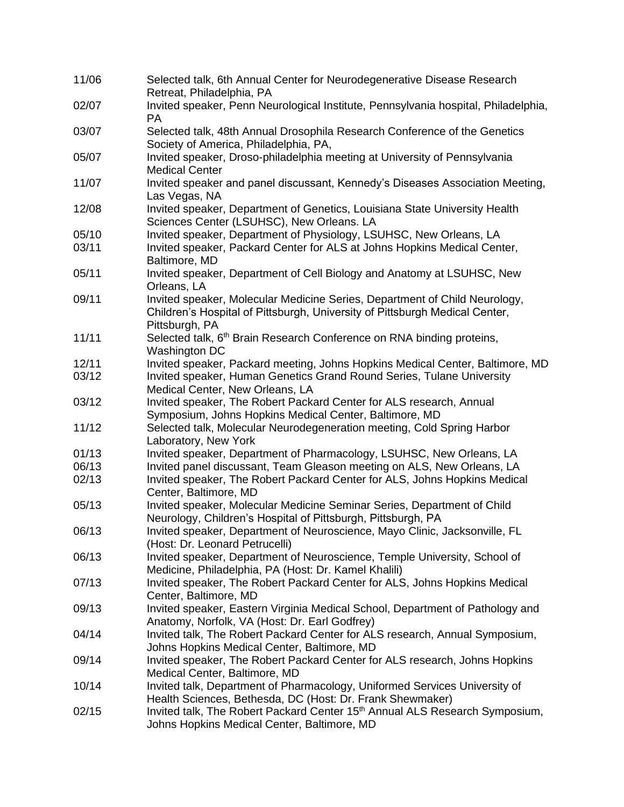| 11/06 | Selected talk, 6th Annual Center for Neurodegenerative Disease Research<br>Retreat, Philadelphia, PA                                                                        |
|-------|-----------------------------------------------------------------------------------------------------------------------------------------------------------------------------|
| 02/07 | Invited speaker, Penn Neurological Institute, Pennsylvania hospital, Philadelphia,<br><b>PA</b>                                                                             |
| 03/07 | Selected talk, 48th Annual Drosophila Research Conference of the Genetics<br>Society of America, Philadelphia, PA,                                                          |
| 05/07 | Invited speaker, Droso-philadelphia meeting at University of Pennsylvania<br><b>Medical Center</b>                                                                          |
| 11/07 | Invited speaker and panel discussant, Kennedy's Diseases Association Meeting,<br>Las Vegas, NA                                                                              |
| 12/08 | Invited speaker, Department of Genetics, Louisiana State University Health<br>Sciences Center (LSUHSC), New Orleans. LA                                                     |
| 05/10 | Invited speaker, Department of Physiology, LSUHSC, New Orleans, LA                                                                                                          |
| 03/11 | Invited speaker, Packard Center for ALS at Johns Hopkins Medical Center,<br>Baltimore, MD                                                                                   |
| 05/11 | Invited speaker, Department of Cell Biology and Anatomy at LSUHSC, New<br>Orleans, LA                                                                                       |
| 09/11 | Invited speaker, Molecular Medicine Series, Department of Child Neurology,<br>Children's Hospital of Pittsburgh, University of Pittsburgh Medical Center,<br>Pittsburgh, PA |
| 11/11 | Selected talk, 6 <sup>th</sup> Brain Research Conference on RNA binding proteins,<br>Washington DC                                                                          |
| 12/11 | Invited speaker, Packard meeting, Johns Hopkins Medical Center, Baltimore, MD                                                                                               |
| 03/12 | Invited speaker, Human Genetics Grand Round Series, Tulane University<br>Medical Center, New Orleans, LA                                                                    |
| 03/12 | Invited speaker, The Robert Packard Center for ALS research, Annual<br>Symposium, Johns Hopkins Medical Center, Baltimore, MD                                               |
| 11/12 | Selected talk, Molecular Neurodegeneration meeting, Cold Spring Harbor<br>Laboratory, New York                                                                              |
| 01/13 | Invited speaker, Department of Pharmacology, LSUHSC, New Orleans, LA                                                                                                        |
| 06/13 | Invited panel discussant, Team Gleason meeting on ALS, New Orleans, LA                                                                                                      |
| 02/13 | Invited speaker, The Robert Packard Center for ALS, Johns Hopkins Medical<br>Center, Baltimore, MD                                                                          |
| 05/13 | Invited speaker, Molecular Medicine Seminar Series, Department of Child<br>Neurology, Children's Hospital of Pittsburgh, Pittsburgh, PA                                     |
| 06/13 | Invited speaker, Department of Neuroscience, Mayo Clinic, Jacksonville, FL<br>(Host: Dr. Leonard Petrucelli)                                                                |
| 06/13 | Invited speaker, Department of Neuroscience, Temple University, School of<br>Medicine, Philadelphia, PA (Host: Dr. Kamel Khalili)                                           |
| 07/13 | Invited speaker, The Robert Packard Center for ALS, Johns Hopkins Medical<br>Center, Baltimore, MD                                                                          |
| 09/13 | Invited speaker, Eastern Virginia Medical School, Department of Pathology and<br>Anatomy, Norfolk, VA (Host: Dr. Earl Godfrey)                                              |
| 04/14 | Invited talk, The Robert Packard Center for ALS research, Annual Symposium,<br>Johns Hopkins Medical Center, Baltimore, MD                                                  |
| 09/14 | Invited speaker, The Robert Packard Center for ALS research, Johns Hopkins<br>Medical Center, Baltimore, MD                                                                 |
| 10/14 | Invited talk, Department of Pharmacology, Uniformed Services University of<br>Health Sciences, Bethesda, DC (Host: Dr. Frank Shewmaker)                                     |
| 02/15 | Invited talk, The Robert Packard Center 15 <sup>th</sup> Annual ALS Research Symposium,<br>Johns Hopkins Medical Center, Baltimore, MD                                      |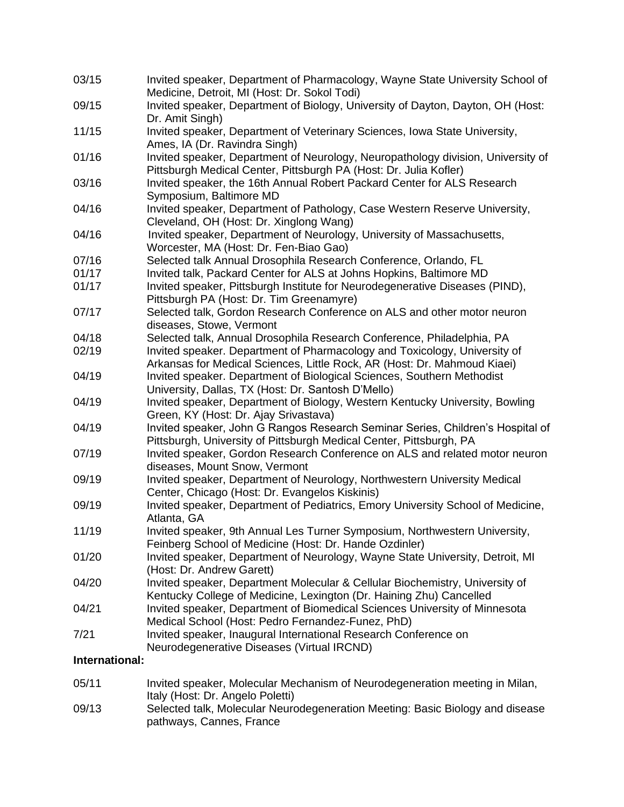| 03/15          | Invited speaker, Department of Pharmacology, Wayne State University School of<br>Medicine, Detroit, MI (Host: Dr. Sokol Todi)                         |  |  |
|----------------|-------------------------------------------------------------------------------------------------------------------------------------------------------|--|--|
| 09/15          | Invited speaker, Department of Biology, University of Dayton, Dayton, OH (Host:<br>Dr. Amit Singh)                                                    |  |  |
| 11/15          | Invited speaker, Department of Veterinary Sciences, Iowa State University,                                                                            |  |  |
|                | Ames, IA (Dr. Ravindra Singh)                                                                                                                         |  |  |
| 01/16          | Invited speaker, Department of Neurology, Neuropathology division, University of<br>Pittsburgh Medical Center, Pittsburgh PA (Host: Dr. Julia Kofler) |  |  |
| 03/16          | Invited speaker, the 16th Annual Robert Packard Center for ALS Research<br>Symposium, Baltimore MD                                                    |  |  |
| 04/16          | Invited speaker, Department of Pathology, Case Western Reserve University,<br>Cleveland, OH (Host: Dr. Xinglong Wang)                                 |  |  |
| 04/16          | Invited speaker, Department of Neurology, University of Massachusetts,                                                                                |  |  |
|                | Worcester, MA (Host: Dr. Fen-Biao Gao)                                                                                                                |  |  |
| 07/16          | Selected talk Annual Drosophila Research Conference, Orlando, FL                                                                                      |  |  |
| 01/17          | Invited talk, Packard Center for ALS at Johns Hopkins, Baltimore MD                                                                                   |  |  |
| 01/17          | Invited speaker, Pittsburgh Institute for Neurodegenerative Diseases (PIND),<br>Pittsburgh PA (Host: Dr. Tim Greenamyre)                              |  |  |
| 07/17          | Selected talk, Gordon Research Conference on ALS and other motor neuron<br>diseases, Stowe, Vermont                                                   |  |  |
| 04/18          | Selected talk, Annual Drosophila Research Conference, Philadelphia, PA                                                                                |  |  |
| 02/19          | Invited speaker. Department of Pharmacology and Toxicology, University of                                                                             |  |  |
|                | Arkansas for Medical Sciences, Little Rock, AR (Host: Dr. Mahmoud Kiaei)                                                                              |  |  |
| 04/19          | Invited speaker. Department of Biological Sciences, Southern Methodist                                                                                |  |  |
|                | University, Dallas, TX (Host: Dr. Santosh D'Mello)                                                                                                    |  |  |
| 04/19          | Invited speaker, Department of Biology, Western Kentucky University, Bowling                                                                          |  |  |
|                | Green, KY (Host: Dr. Ajay Srivastava)                                                                                                                 |  |  |
| 04/19          | Invited speaker, John G Rangos Research Seminar Series, Children's Hospital of                                                                        |  |  |
|                | Pittsburgh, University of Pittsburgh Medical Center, Pittsburgh, PA                                                                                   |  |  |
| 07/19          | Invited speaker, Gordon Research Conference on ALS and related motor neuron                                                                           |  |  |
|                | diseases, Mount Snow, Vermont                                                                                                                         |  |  |
| 09/19          | Invited speaker, Department of Neurology, Northwestern University Medical                                                                             |  |  |
|                | Center, Chicago (Host: Dr. Evangelos Kiskinis)                                                                                                        |  |  |
| 09/19          | Invited speaker, Department of Pediatrics, Emory University School of Medicine,<br>Atlanta, GA                                                        |  |  |
| 11/19          | Invited speaker, 9th Annual Les Turner Symposium, Northwestern University,                                                                            |  |  |
|                | Feinberg School of Medicine (Host: Dr. Hande Ozdinler)                                                                                                |  |  |
| 01/20          | Invited speaker, Department of Neurology, Wayne State University, Detroit, MI                                                                         |  |  |
|                | (Host: Dr. Andrew Garett)                                                                                                                             |  |  |
| 04/20          | Invited speaker, Department Molecular & Cellular Biochemistry, University of                                                                          |  |  |
|                | Kentucky College of Medicine, Lexington (Dr. Haining Zhu) Cancelled                                                                                   |  |  |
| 04/21          | Invited speaker, Department of Biomedical Sciences University of Minnesota                                                                            |  |  |
|                | Medical School (Host: Pedro Fernandez-Funez, PhD)                                                                                                     |  |  |
| 7/21           | Invited speaker, Inaugural International Research Conference on                                                                                       |  |  |
|                | Neurodegenerative Diseases (Virtual IRCND)                                                                                                            |  |  |
| International: |                                                                                                                                                       |  |  |
|                |                                                                                                                                                       |  |  |
| 05/11          | Invited speaker, Molecular Mechanism of Neurodegeneration meeting in Milan,<br>Italy (Host: Dr. Angelo Poletti)                                       |  |  |

09/13 Selected talk, Molecular Neurodegeneration Meeting: Basic Biology and disease pathways, Cannes, France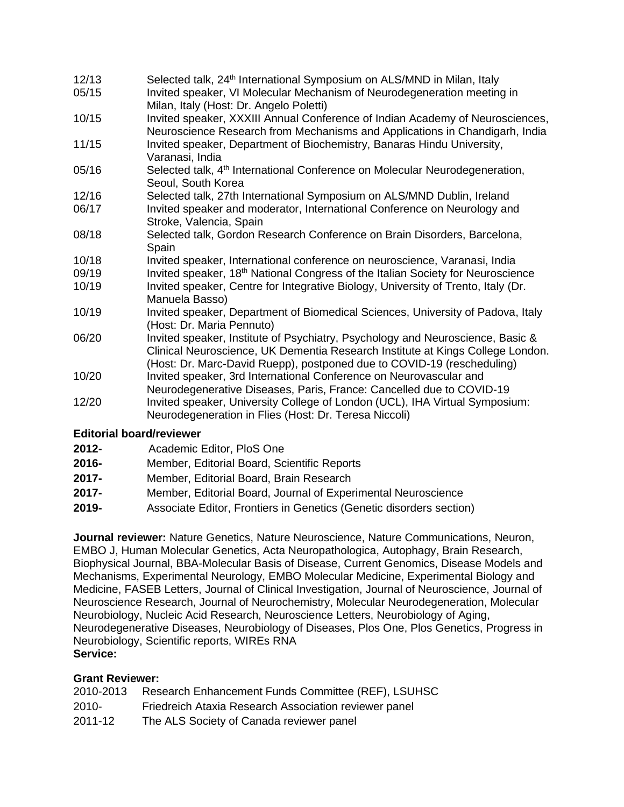- 12/13 Selected talk, 24th International Symposium on ALS/MND in Milan, Italy
- 05/15 Invited speaker, VI Molecular Mechanism of Neurodegeneration meeting in Milan, Italy (Host: Dr. Angelo Poletti)
- 10/15 Invited speaker, XXXIII Annual Conference of Indian Academy of Neurosciences, Neuroscience Research from Mechanisms and Applications in Chandigarh, India
- 11/15 Invited speaker, Department of Biochemistry, Banaras Hindu University, Varanasi, India
- 05/16 Selected talk, 4<sup>th</sup> International Conference on Molecular Neurodegeneration, Seoul, South Korea
- 12/16 Selected talk, 27th International Symposium on ALS/MND Dublin, Ireland
- 06/17 Invited speaker and moderator, International Conference on Neurology and Stroke, Valencia, Spain
- 08/18 Selected talk, Gordon Research Conference on Brain Disorders, Barcelona, Spain
- 10/18 Invited speaker, International conference on neuroscience, Varanasi, India
- 09/19 Invited speaker, 18<sup>th</sup> National Congress of the Italian Society for Neuroscience
- 10/19 Invited speaker, Centre for Integrative Biology, University of Trento, Italy (Dr. Manuela Basso)
- 10/19 Invited speaker, Department of Biomedical Sciences, University of Padova, Italy (Host: Dr. Maria Pennuto)
- 06/20 Invited speaker, Institute of Psychiatry, Psychology and Neuroscience, Basic & Clinical Neuroscience, UK Dementia Research Institute at Kings College London. (Host: Dr. Marc-David Ruepp), postponed due to COVID-19 (rescheduling)
- 10/20 Invited speaker, 3rd International Conference on Neurovascular and Neurodegenerative Diseases, Paris, France: Cancelled due to COVID-19 12/20 Invited speaker, University College of London (UCL), IHA Virtual Symposium:
- Neurodegeneration in Flies (Host: Dr. Teresa Niccoli)

# **Editorial board/reviewer**

- **2012-** Academic Editor, PloS One
- **2016-** Member, Editorial Board, Scientific Reports
- **2017-** Member, Editorial Board, Brain Research
- **2017-** Member, Editorial Board, Journal of Experimental Neuroscience
- **2019-** Associate Editor, Frontiers in Genetics (Genetic disorders section)

**Journal reviewer:** Nature Genetics, Nature Neuroscience, Nature Communications, Neuron, EMBO J, Human Molecular Genetics, Acta Neuropathologica, Autophagy, Brain Research, Biophysical Journal, BBA-Molecular Basis of Disease, Current Genomics, Disease Models and Mechanisms, Experimental Neurology, EMBO Molecular Medicine, Experimental Biology and Medicine, FASEB Letters, Journal of Clinical Investigation, Journal of Neuroscience, Journal of Neuroscience Research, Journal of Neurochemistry, Molecular Neurodegeneration, Molecular Neurobiology, Nucleic Acid Research, Neuroscience Letters, Neurobiology of Aging, Neurodegenerative Diseases, Neurobiology of Diseases, Plos One, Plos Genetics, Progress in Neurobiology, Scientific reports, WIREs RNA **Service:** 

# **Grant Reviewer:**

| 2010-2013 | Research Enhancement Funds Committee (REF), LSUHSC    |
|-----------|-------------------------------------------------------|
| $2010 -$  | Friedreich Ataxia Research Association reviewer panel |
| 2011-12   | The ALS Society of Canada reviewer panel              |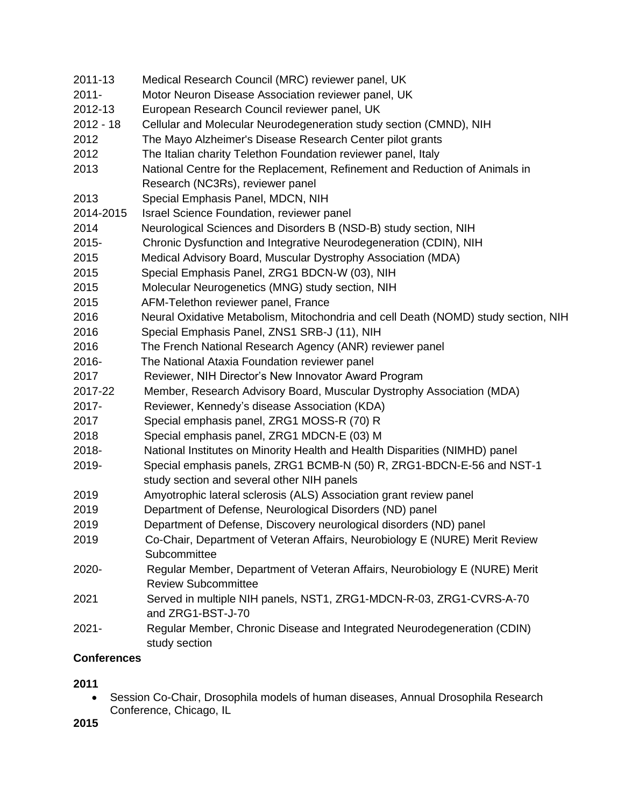| 2011-13     | Medical Research Council (MRC) reviewer panel, UK                                                        |
|-------------|----------------------------------------------------------------------------------------------------------|
| $2011 -$    | Motor Neuron Disease Association reviewer panel, UK                                                      |
| 2012-13     | European Research Council reviewer panel, UK                                                             |
| $2012 - 18$ | Cellular and Molecular Neurodegeneration study section (CMND), NIH                                       |
| 2012        | The Mayo Alzheimer's Disease Research Center pilot grants                                                |
| 2012        | The Italian charity Telethon Foundation reviewer panel, Italy                                            |
| 2013        | National Centre for the Replacement, Refinement and Reduction of Animals in                              |
|             | Research (NC3Rs), reviewer panel                                                                         |
| 2013        | Special Emphasis Panel, MDCN, NIH                                                                        |
| 2014-2015   | Israel Science Foundation, reviewer panel                                                                |
| 2014        | Neurological Sciences and Disorders B (NSD-B) study section, NIH                                         |
| 2015-       | Chronic Dysfunction and Integrative Neurodegeneration (CDIN), NIH                                        |
| 2015        | Medical Advisory Board, Muscular Dystrophy Association (MDA)                                             |
| 2015        | Special Emphasis Panel, ZRG1 BDCN-W (03), NIH                                                            |
| 2015        | Molecular Neurogenetics (MNG) study section, NIH                                                         |
| 2015        | AFM-Telethon reviewer panel, France                                                                      |
| 2016        | Neural Oxidative Metabolism, Mitochondria and cell Death (NOMD) study section, NIH                       |
| 2016        | Special Emphasis Panel, ZNS1 SRB-J (11), NIH                                                             |
| 2016        | The French National Research Agency (ANR) reviewer panel                                                 |
| 2016-       | The National Ataxia Foundation reviewer panel                                                            |
| 2017        | Reviewer, NIH Director's New Innovator Award Program                                                     |
| 2017-22     | Member, Research Advisory Board, Muscular Dystrophy Association (MDA)                                    |
| 2017-       | Reviewer, Kennedy's disease Association (KDA)                                                            |
| 2017        | Special emphasis panel, ZRG1 MOSS-R (70) R                                                               |
| 2018        | Special emphasis panel, ZRG1 MDCN-E (03) M                                                               |
| 2018-       | National Institutes on Minority Health and Health Disparities (NIMHD) panel                              |
| 2019-       | Special emphasis panels, ZRG1 BCMB-N (50) R, ZRG1-BDCN-E-56 and NST-1                                    |
|             | study section and several other NIH panels                                                               |
| 2019        | Amyotrophic lateral sclerosis (ALS) Association grant review panel                                       |
| 2019        | Department of Defense, Neurological Disorders (ND) panel                                                 |
| 2019        | Department of Defense, Discovery neurological disorders (ND) panel                                       |
| 2019        | Co-Chair, Department of Veteran Affairs, Neurobiology E (NURE) Merit Review                              |
|             | Subcommittee                                                                                             |
| 2020-       | Regular Member, Department of Veteran Affairs, Neurobiology E (NURE) Merit<br><b>Review Subcommittee</b> |
| 2021        | Served in multiple NIH panels, NST1, ZRG1-MDCN-R-03, ZRG1-CVRS-A-70<br>and ZRG1-BST-J-70                 |
| $2021 -$    | Regular Member, Chronic Disease and Integrated Neurodegeneration (CDIN)<br>study section                 |

# **Conferences**

# **2011**

• Session Co-Chair, Drosophila models of human diseases, Annual Drosophila Research Conference, Chicago, IL

**2015**